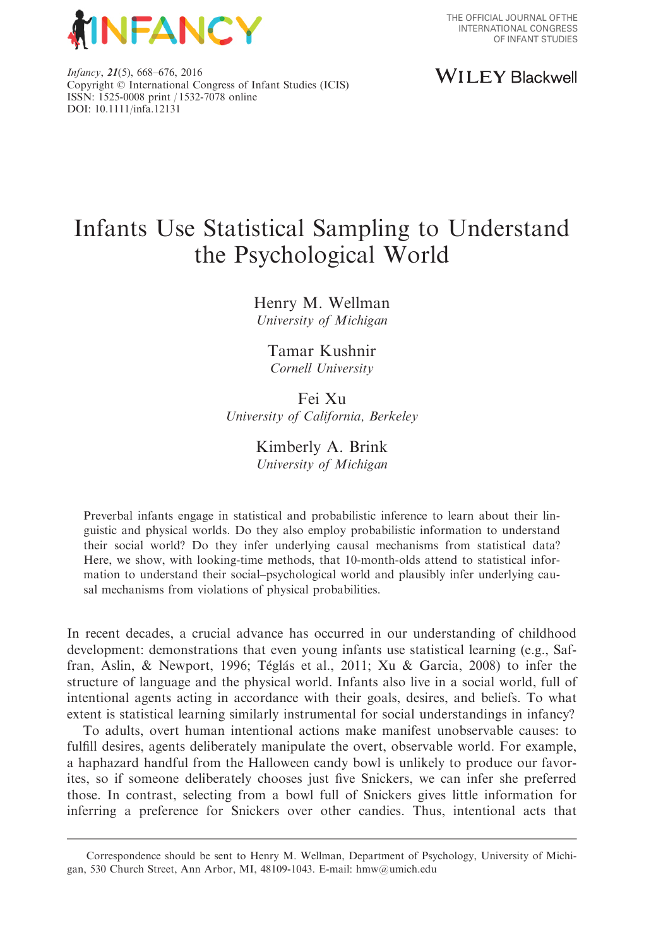

Infancy, 21(5), 668–676, 2016 Copyright © International Congress of Infant Studies (ICIS) ISSN: 1525-0008 print / 1532-7078 online DOI: 10.1111/infa.12131

**WILEY Blackwell** 

# Infants Use Statistical Sampling to Understand the Psychological World

Henry M. Wellman University of Michigan

> Tamar Kushnir Cornell University

Fei Xu University of California, Berkeley

## Kimberly A. Brink University of Michigan

Preverbal infants engage in statistical and probabilistic inference to learn about their linguistic and physical worlds. Do they also employ probabilistic information to understand their social world? Do they infer underlying causal mechanisms from statistical data? Here, we show, with looking-time methods, that 10-month-olds attend to statistical information to understand their social–psychological world and plausibly infer underlying causal mechanisms from violations of physical probabilities.

In recent decades, a crucial advance has occurred in our understanding of childhood development: demonstrations that even young infants use statistical learning (e.g., Saffran, Aslin, & Newport, 1996; Teglas et al., 2011; Xu & Garcia, 2008) to infer the structure of language and the physical world. Infants also live in a social world, full of intentional agents acting in accordance with their goals, desires, and beliefs. To what extent is statistical learning similarly instrumental for social understandings in infancy?

To adults, overt human intentional actions make manifest unobservable causes: to fulfill desires, agents deliberately manipulate the overt, observable world. For example, a haphazard handful from the Halloween candy bowl is unlikely to produce our favorites, so if someone deliberately chooses just five Snickers, we can infer she preferred those. In contrast, selecting from a bowl full of Snickers gives little information for inferring a preference for Snickers over other candies. Thus, intentional acts that

Correspondence should be sent to Henry M. Wellman, Department of Psychology, University of Michigan, 530 Church Street, Ann Arbor, MI, 48109-1043. E-mail: hmw@umich.edu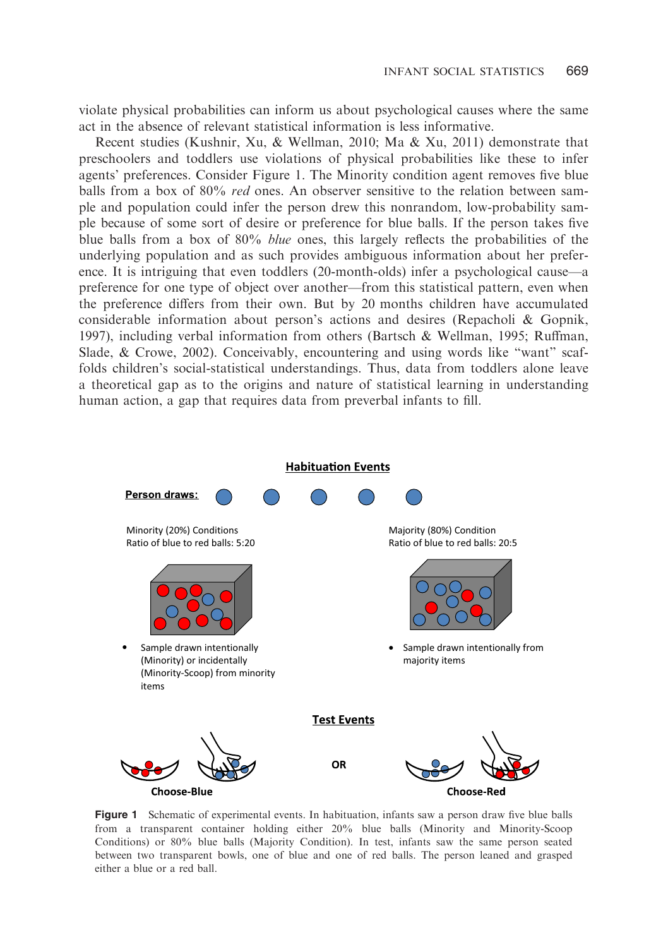violate physical probabilities can inform us about psychological causes where the same act in the absence of relevant statistical information is less informative.

Recent studies (Kushnir, Xu, & Wellman, 2010; Ma & Xu, 2011) demonstrate that preschoolers and toddlers use violations of physical probabilities like these to infer agents' preferences. Consider Figure 1. The Minority condition agent removes five blue balls from a box of 80% red ones. An observer sensitive to the relation between sample and population could infer the person drew this nonrandom, low-probability sample because of some sort of desire or preference for blue balls. If the person takes five blue balls from a box of 80% blue ones, this largely reflects the probabilities of the underlying population and as such provides ambiguous information about her preference. It is intriguing that even toddlers (20-month-olds) infer a psychological cause—a preference for one type of object over another—from this statistical pattern, even when the preference differs from their own. But by 20 months children have accumulated considerable information about person's actions and desires (Repacholi & Gopnik, 1997), including verbal information from others (Bartsch & Wellman, 1995; Ruffman, Slade, & Crowe, 2002). Conceivably, encountering and using words like "want" scaffolds children's social-statistical understandings. Thus, data from toddlers alone leave a theoretical gap as to the origins and nature of statistical learning in understanding human action, a gap that requires data from preverbal infants to fill.



Figure 1 Schematic of experimental events. In habituation, infants saw a person draw five blue balls from a transparent container holding either 20% blue balls (Minority and Minority-Scoop Conditions) or 80% blue balls (Majority Condition). In test, infants saw the same person seated between two transparent bowls, one of blue and one of red balls. The person leaned and grasped either a blue or a red ball.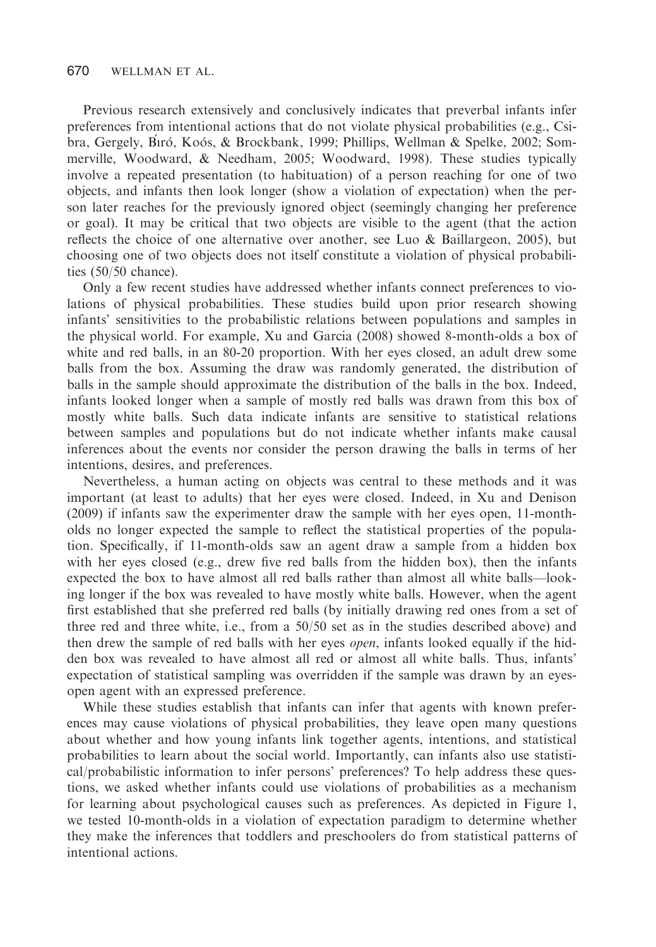#### 670 WELLMAN ET AL.

Previous research extensively and conclusively indicates that preverbal infants infer preferences from intentional actions that do not violate physical probabilities (e.g., Csibra, Gergely, Bıró, Koós, & Brockbank, 1999; Phillips, Wellman & Spelke, 2002; Sommerville, Woodward, & Needham, 2005; Woodward, 1998). These studies typically involve a repeated presentation (to habituation) of a person reaching for one of two objects, and infants then look longer (show a violation of expectation) when the person later reaches for the previously ignored object (seemingly changing her preference or goal). It may be critical that two objects are visible to the agent (that the action reflects the choice of one alternative over another, see Luo & Baillargeon, 2005), but choosing one of two objects does not itself constitute a violation of physical probabilities (50/50 chance).

Only a few recent studies have addressed whether infants connect preferences to violations of physical probabilities. These studies build upon prior research showing infants' sensitivities to the probabilistic relations between populations and samples in the physical world. For example, Xu and Garcia (2008) showed 8-month-olds a box of white and red balls, in an 80-20 proportion. With her eyes closed, an adult drew some balls from the box. Assuming the draw was randomly generated, the distribution of balls in the sample should approximate the distribution of the balls in the box. Indeed, infants looked longer when a sample of mostly red balls was drawn from this box of mostly white balls. Such data indicate infants are sensitive to statistical relations between samples and populations but do not indicate whether infants make causal inferences about the events nor consider the person drawing the balls in terms of her intentions, desires, and preferences.

Nevertheless, a human acting on objects was central to these methods and it was important (at least to adults) that her eyes were closed. Indeed, in Xu and Denison (2009) if infants saw the experimenter draw the sample with her eyes open, 11-montholds no longer expected the sample to reflect the statistical properties of the population. Specifically, if 11-month-olds saw an agent draw a sample from a hidden box with her eyes closed (e.g., drew five red balls from the hidden box), then the infants expected the box to have almost all red balls rather than almost all white balls—looking longer if the box was revealed to have mostly white balls. However, when the agent first established that she preferred red balls (by initially drawing red ones from a set of three red and three white, i.e., from a 50/50 set as in the studies described above) and then drew the sample of red balls with her eyes *open*, infants looked equally if the hidden box was revealed to have almost all red or almost all white balls. Thus, infants' expectation of statistical sampling was overridden if the sample was drawn by an eyesopen agent with an expressed preference.

While these studies establish that infants can infer that agents with known preferences may cause violations of physical probabilities, they leave open many questions about whether and how young infants link together agents, intentions, and statistical probabilities to learn about the social world. Importantly, can infants also use statistical/probabilistic information to infer persons' preferences? To help address these questions, we asked whether infants could use violations of probabilities as a mechanism for learning about psychological causes such as preferences. As depicted in Figure 1, we tested 10-month-olds in a violation of expectation paradigm to determine whether they make the inferences that toddlers and preschoolers do from statistical patterns of intentional actions.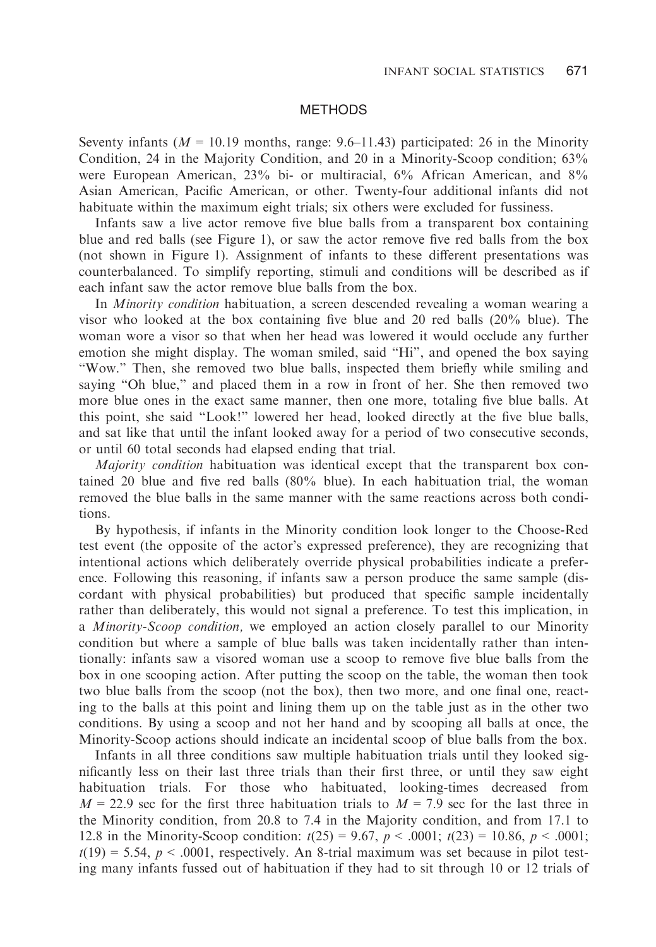#### **METHODS**

Seventy infants ( $M = 10.19$  months, range: 9.6–11.43) participated: 26 in the Minority Condition, 24 in the Majority Condition, and 20 in a Minority-Scoop condition; 63% were European American, 23% bi- or multiracial, 6% African American, and 8% Asian American, Pacific American, or other. Twenty-four additional infants did not habituate within the maximum eight trials; six others were excluded for fussiness.

Infants saw a live actor remove five blue balls from a transparent box containing blue and red balls (see Figure 1), or saw the actor remove five red balls from the box (not shown in Figure 1). Assignment of infants to these different presentations was counterbalanced. To simplify reporting, stimuli and conditions will be described as if each infant saw the actor remove blue balls from the box.

In *Minority condition* habituation, a screen descended revealing a woman wearing a visor who looked at the box containing five blue and 20 red balls (20% blue). The woman wore a visor so that when her head was lowered it would occlude any further emotion she might display. The woman smiled, said "Hi", and opened the box saying "Wow." Then, she removed two blue balls, inspected them briefly while smiling and saying "Oh blue," and placed them in a row in front of her. She then removed two more blue ones in the exact same manner, then one more, totaling five blue balls. At this point, she said "Look!" lowered her head, looked directly at the five blue balls, and sat like that until the infant looked away for a period of two consecutive seconds, or until 60 total seconds had elapsed ending that trial.

Majority condition habituation was identical except that the transparent box contained 20 blue and five red balls (80% blue). In each habituation trial, the woman removed the blue balls in the same manner with the same reactions across both conditions.

By hypothesis, if infants in the Minority condition look longer to the Choose-Red test event (the opposite of the actor's expressed preference), they are recognizing that intentional actions which deliberately override physical probabilities indicate a preference. Following this reasoning, if infants saw a person produce the same sample (discordant with physical probabilities) but produced that specific sample incidentally rather than deliberately, this would not signal a preference. To test this implication, in a *Minority-Scoop condition*, we employed an action closely parallel to our Minority condition but where a sample of blue balls was taken incidentally rather than intentionally: infants saw a visored woman use a scoop to remove five blue balls from the box in one scooping action. After putting the scoop on the table, the woman then took two blue balls from the scoop (not the box), then two more, and one final one, reacting to the balls at this point and lining them up on the table just as in the other two conditions. By using a scoop and not her hand and by scooping all balls at once, the Minority-Scoop actions should indicate an incidental scoop of blue balls from the box.

Infants in all three conditions saw multiple habituation trials until they looked significantly less on their last three trials than their first three, or until they saw eight habituation trials. For those who habituated, looking-times decreased from  $M = 22.9$  sec for the first three habituation trials to  $M = 7.9$  sec for the last three in the Minority condition, from 20.8 to 7.4 in the Majority condition, and from 17.1 to 12.8 in the Minority-Scoop condition:  $t(25) = 9.67$ ,  $p < .0001$ ;  $t(23) = 10.86$ ,  $p < .0001$ ;  $t(19) = 5.54$ ,  $p < .0001$ , respectively. An 8-trial maximum was set because in pilot testing many infants fussed out of habituation if they had to sit through 10 or 12 trials of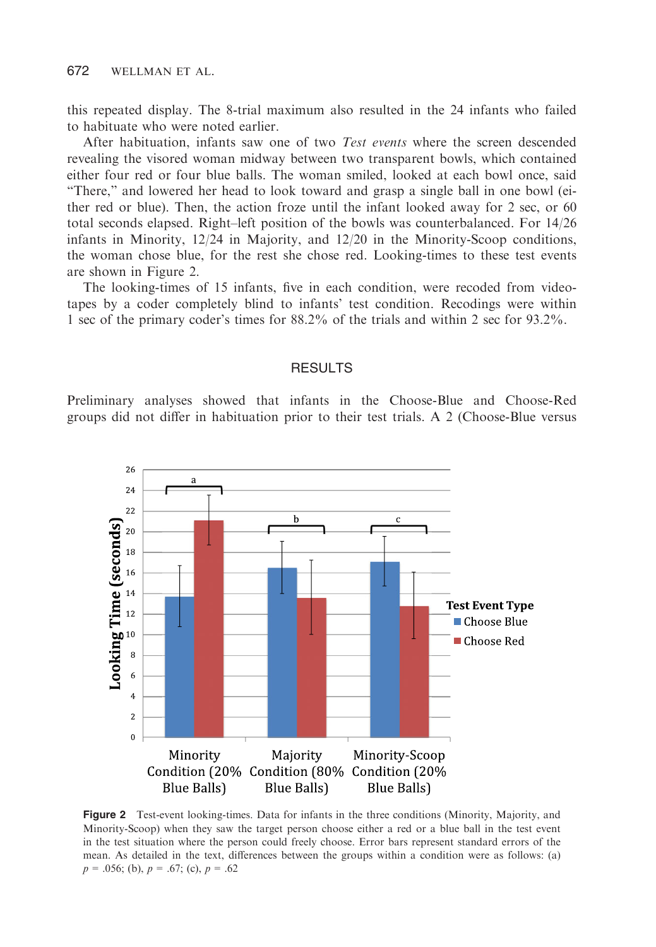this repeated display. The 8-trial maximum also resulted in the 24 infants who failed to habituate who were noted earlier.

After habituation, infants saw one of two *Test events* where the screen descended revealing the visored woman midway between two transparent bowls, which contained either four red or four blue balls. The woman smiled, looked at each bowl once, said "There," and lowered her head to look toward and grasp a single ball in one bowl (either red or blue). Then, the action froze until the infant looked away for 2 sec, or 60 total seconds elapsed. Right–left position of the bowls was counterbalanced. For 14/26 infants in Minority, 12/24 in Majority, and 12/20 in the Minority-Scoop conditions, the woman chose blue, for the rest she chose red. Looking-times to these test events are shown in Figure 2.

The looking-times of 15 infants, five in each condition, were recoded from videotapes by a coder completely blind to infants' test condition. Recodings were within 1 sec of the primary coder's times for 88.2% of the trials and within 2 sec for 93.2%.

## **RESULTS**

Preliminary analyses showed that infants in the Choose-Blue and Choose-Red groups did not differ in habituation prior to their test trials. A 2 (Choose-Blue versus



Figure 2 Test-event looking-times. Data for infants in the three conditions (Minority, Majority, and Minority-Scoop) when they saw the target person choose either a red or a blue ball in the test event in the test situation where the person could freely choose. Error bars represent standard errors of the mean. As detailed in the text, differences between the groups within a condition were as follows: (a)  $p = .056$ ; (b),  $p = .67$ ; (c),  $p = .62$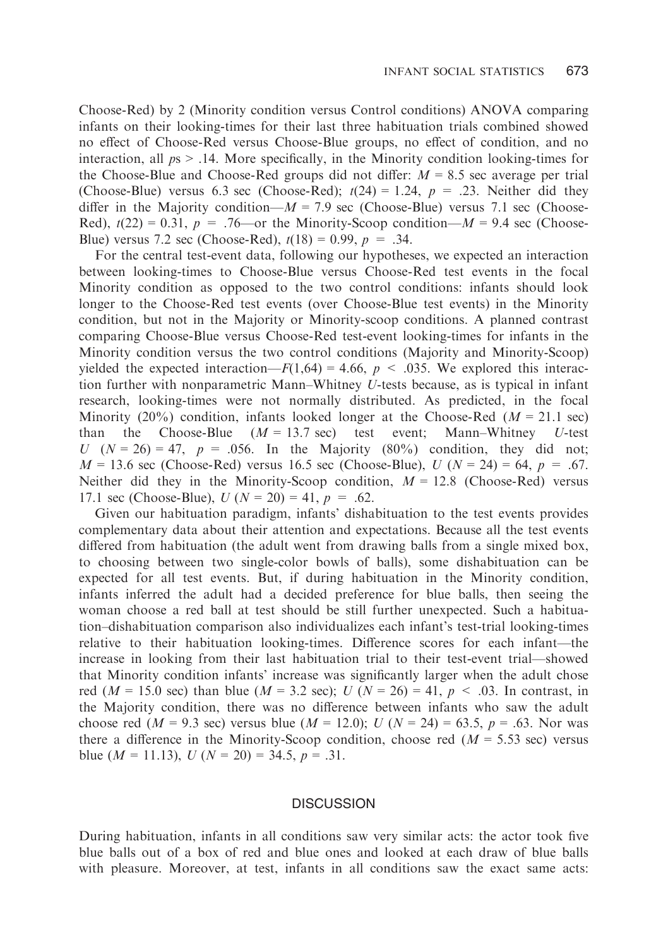Choose-Red) by 2 (Minority condition versus Control conditions) ANOVA comparing infants on their looking-times for their last three habituation trials combined showed no effect of Choose-Red versus Choose-Blue groups, no effect of condition, and no interaction, all  $ps > 0.14$ . More specifically, in the Minority condition looking-times for the Choose-Blue and Choose-Red groups did not differ:  $M = 8.5$  sec average per trial (Choose-Blue) versus 6.3 sec (Choose-Red);  $t(24) = 1.24$ ,  $p = .23$ . Neither did they differ in the Majority condition— $M = 7.9$  sec (Choose-Blue) versus 7.1 sec (Choose-Red),  $t(22) = 0.31$ ,  $p = .76$ —or the Minority-Scoop condition— $M = 9.4$  sec (Choose-Blue) versus 7.2 sec (Choose-Red),  $t(18) = 0.99$ ,  $p = .34$ .

For the central test-event data, following our hypotheses, we expected an interaction between looking-times to Choose-Blue versus Choose-Red test events in the focal Minority condition as opposed to the two control conditions: infants should look longer to the Choose-Red test events (over Choose-Blue test events) in the Minority condition, but not in the Majority or Minority-scoop conditions. A planned contrast comparing Choose-Blue versus Choose-Red test-event looking-times for infants in the Minority condition versus the two control conditions (Majority and Minority-Scoop) yielded the expected interaction— $F(1,64) = 4.66$ ,  $p \le 0.035$ . We explored this interaction further with nonparametric Mann–Whitney U-tests because, as is typical in infant research, looking-times were not normally distributed. As predicted, in the focal Minority (20%) condition, infants looked longer at the Choose-Red ( $M = 21.1$  sec) than the Choose-Blue  $(M = 13.7 \text{ sec})$  test event; Mann–Whitney U-test U ( $N = 26$ ) = 47,  $p = .056$ . In the Majority (80%) condition, they did not;  $M = 13.6$  sec (Choose-Red) versus 16.5 sec (Choose-Blue),  $U (N = 24) = 64$ ,  $p = .67$ . Neither did they in the Minority-Scoop condition,  $M = 12.8$  (Choose-Red) versus 17.1 sec (Choose-Blue),  $U (N = 20) = 41$ ,  $p = .62$ .

Given our habituation paradigm, infants' dishabituation to the test events provides complementary data about their attention and expectations. Because all the test events differed from habituation (the adult went from drawing balls from a single mixed box, to choosing between two single-color bowls of balls), some dishabituation can be expected for all test events. But, if during habituation in the Minority condition, infants inferred the adult had a decided preference for blue balls, then seeing the woman choose a red ball at test should be still further unexpected. Such a habituation–dishabituation comparison also individualizes each infant's test-trial looking-times relative to their habituation looking-times. Difference scores for each infant—the increase in looking from their last habituation trial to their test-event trial—showed that Minority condition infants' increase was significantly larger when the adult chose red ( $M = 15.0$  sec) than blue ( $M = 3.2$  sec); U ( $N = 26$ ) = 41,  $p < .03$ . In contrast, in the Majority condition, there was no difference between infants who saw the adult choose red ( $M = 9.3$  sec) versus blue ( $M = 12.0$ );  $U (N = 24) = 63.5$ ,  $p = .63$ . Nor was there a difference in the Minority-Scoop condition, choose red  $(M = 5.53 \text{ sec})$  versus blue ( $M = 11.13$ ),  $U (N = 20) = 34.5, p = .31$ .

#### **DISCUSSION**

During habituation, infants in all conditions saw very similar acts: the actor took five blue balls out of a box of red and blue ones and looked at each draw of blue balls with pleasure. Moreover, at test, infants in all conditions saw the exact same acts: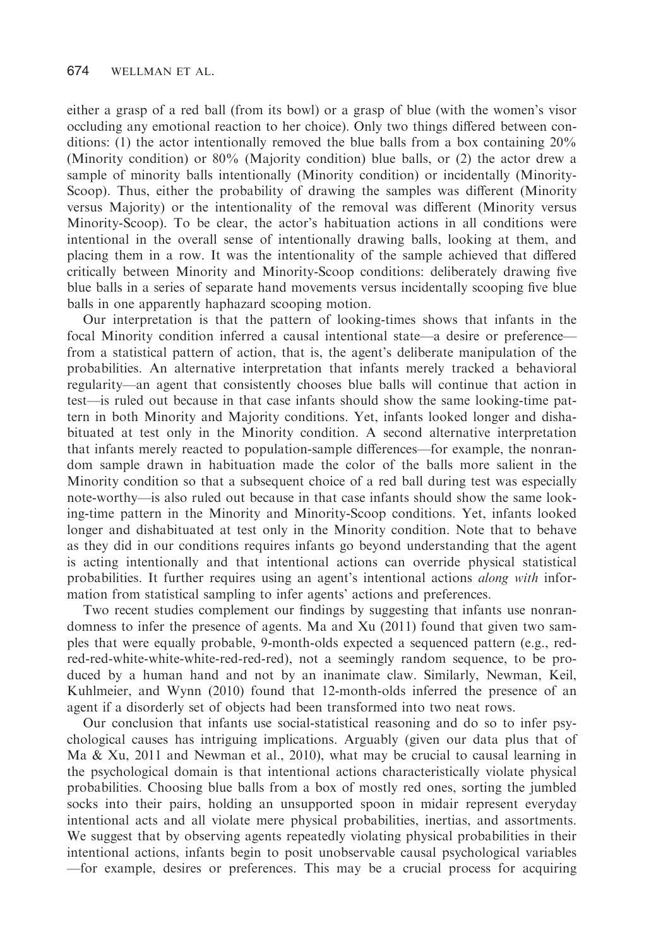either a grasp of a red ball (from its bowl) or a grasp of blue (with the women's visor occluding any emotional reaction to her choice). Only two things differed between conditions: (1) the actor intentionally removed the blue balls from a box containing 20% (Minority condition) or 80% (Majority condition) blue balls, or (2) the actor drew a sample of minority balls intentionally (Minority condition) or incidentally (Minority-Scoop). Thus, either the probability of drawing the samples was different (Minority versus Majority) or the intentionality of the removal was different (Minority versus Minority-Scoop). To be clear, the actor's habituation actions in all conditions were intentional in the overall sense of intentionally drawing balls, looking at them, and placing them in a row. It was the intentionality of the sample achieved that differed critically between Minority and Minority-Scoop conditions: deliberately drawing five blue balls in a series of separate hand movements versus incidentally scooping five blue balls in one apparently haphazard scooping motion.

Our interpretation is that the pattern of looking-times shows that infants in the focal Minority condition inferred a causal intentional state—a desire or preference from a statistical pattern of action, that is, the agent's deliberate manipulation of the probabilities. An alternative interpretation that infants merely tracked a behavioral regularity—an agent that consistently chooses blue balls will continue that action in test—is ruled out because in that case infants should show the same looking-time pattern in both Minority and Majority conditions. Yet, infants looked longer and dishabituated at test only in the Minority condition. A second alternative interpretation that infants merely reacted to population-sample differences—for example, the nonrandom sample drawn in habituation made the color of the balls more salient in the Minority condition so that a subsequent choice of a red ball during test was especially note-worthy—is also ruled out because in that case infants should show the same looking-time pattern in the Minority and Minority-Scoop conditions. Yet, infants looked longer and dishabituated at test only in the Minority condition. Note that to behave as they did in our conditions requires infants go beyond understanding that the agent is acting intentionally and that intentional actions can override physical statistical probabilities. It further requires using an agent's intentional actions along with information from statistical sampling to infer agents' actions and preferences.

Two recent studies complement our findings by suggesting that infants use nonrandomness to infer the presence of agents. Ma and Xu (2011) found that given two samples that were equally probable, 9-month-olds expected a sequenced pattern (e.g., redred-red-white-white-white-red-red-red), not a seemingly random sequence, to be produced by a human hand and not by an inanimate claw. Similarly, Newman, Keil, Kuhlmeier, and Wynn (2010) found that 12-month-olds inferred the presence of an agent if a disorderly set of objects had been transformed into two neat rows.

Our conclusion that infants use social-statistical reasoning and do so to infer psychological causes has intriguing implications. Arguably (given our data plus that of Ma & Xu, 2011 and Newman et al., 2010), what may be crucial to causal learning in the psychological domain is that intentional actions characteristically violate physical probabilities. Choosing blue balls from a box of mostly red ones, sorting the jumbled socks into their pairs, holding an unsupported spoon in midair represent everyday intentional acts and all violate mere physical probabilities, inertias, and assortments. We suggest that by observing agents repeatedly violating physical probabilities in their intentional actions, infants begin to posit unobservable causal psychological variables —for example, desires or preferences. This may be a crucial process for acquiring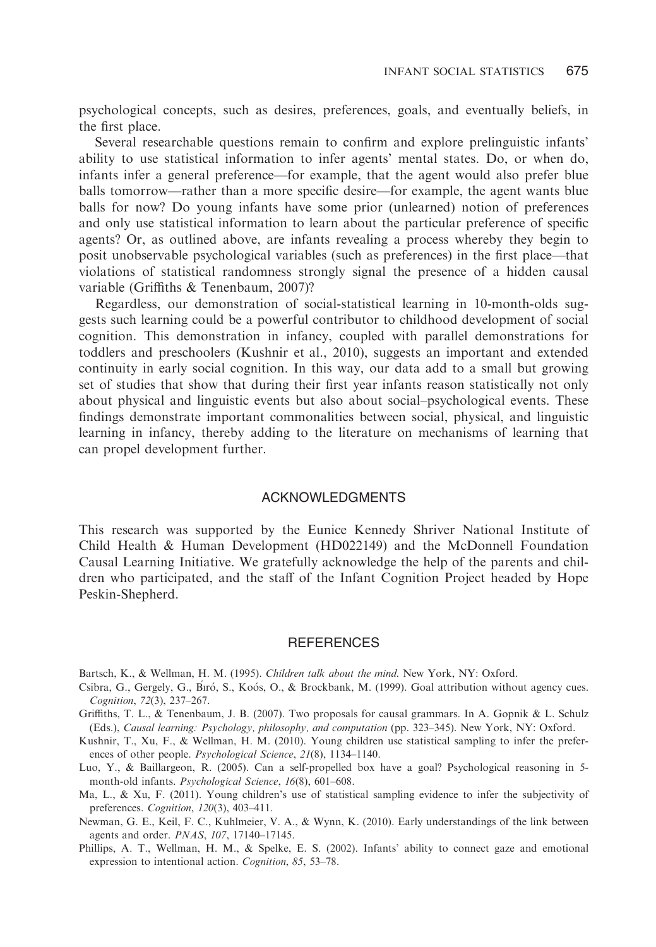psychological concepts, such as desires, preferences, goals, and eventually beliefs, in the first place.

Several researchable questions remain to confirm and explore prelinguistic infants' ability to use statistical information to infer agents' mental states. Do, or when do, infants infer a general preference—for example, that the agent would also prefer blue balls tomorrow—rather than a more specific desire—for example, the agent wants blue balls for now? Do young infants have some prior (unlearned) notion of preferences and only use statistical information to learn about the particular preference of specific agents? Or, as outlined above, are infants revealing a process whereby they begin to posit unobservable psychological variables (such as preferences) in the first place—that violations of statistical randomness strongly signal the presence of a hidden causal variable (Griffiths & Tenenbaum, 2007)?

Regardless, our demonstration of social-statistical learning in 10-month-olds suggests such learning could be a powerful contributor to childhood development of social cognition. This demonstration in infancy, coupled with parallel demonstrations for toddlers and preschoolers (Kushnir et al., 2010), suggests an important and extended continuity in early social cognition. In this way, our data add to a small but growing set of studies that show that during their first year infants reason statistically not only about physical and linguistic events but also about social–psychological events. These findings demonstrate important commonalities between social, physical, and linguistic learning in infancy, thereby adding to the literature on mechanisms of learning that can propel development further.

## ACKNOWLEDGMENTS

This research was supported by the Eunice Kennedy Shriver National Institute of Child Health & Human Development (HD022149) and the McDonnell Foundation Causal Learning Initiative. We gratefully acknowledge the help of the parents and children who participated, and the staff of the Infant Cognition Project headed by Hope Peskin-Shepherd.

### **REFERENCES**

Bartsch, K., & Wellman, H. M. (1995). Children talk about the mind. New York, NY: Oxford.

- Csibra, G., Gergely, G., Biró, S., Koós, O., & Brockbank, M. (1999). Goal attribution without agency cues. Cognition, 72(3), 237–267.
- Griffiths, T. L., & Tenenbaum, J. B. (2007). Two proposals for causal grammars. In A. Gopnik & L. Schulz (Eds.), Causal learning: Psychology, philosophy, and computation (pp. 323–345). New York, NY: Oxford.
- Kushnir, T., Xu, F., & Wellman, H. M. (2010). Young children use statistical sampling to infer the preferences of other people. Psychological Science, 21(8), 1134–1140.
- Luo, Y., & Baillargeon, R. (2005). Can a self-propelled box have a goal? Psychological reasoning in 5 month-old infants. Psychological Science, 16(8), 601–608.
- Ma, L., & Xu, F. (2011). Young children's use of statistical sampling evidence to infer the subjectivity of preferences. Cognition, 120(3), 403–411.
- Newman, G. E., Keil, F. C., Kuhlmeier, V. A., & Wynn, K. (2010). Early understandings of the link between agents and order. PNAS, 107, 17140–17145.
- Phillips, A. T., Wellman, H. M., & Spelke, E. S. (2002). Infants' ability to connect gaze and emotional expression to intentional action. Cognition, 85, 53–78.